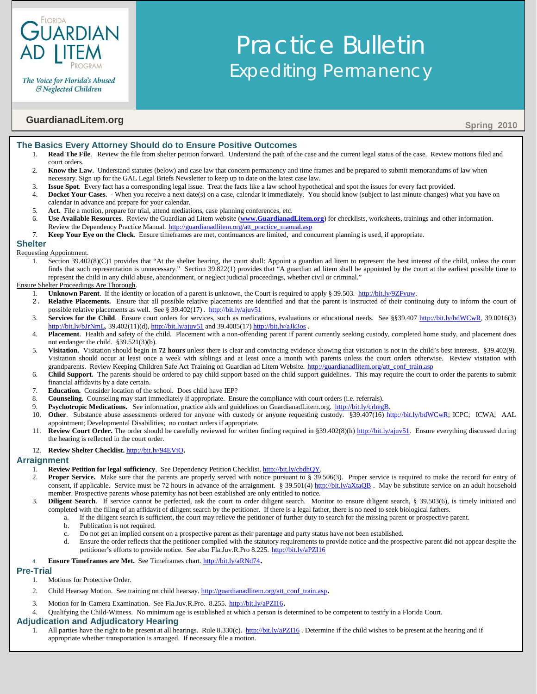

The Voice for Florida's Abused & Neglected Children

# **GuardianadLitem.org** Spring 2010

## **The Basics Every Attorney Should do to Ensure Positive Outcomes**

1. **Read The File**. Review the file from shelter petition forward. Understand the path of the case and the current legal status of the case. Review motions filed and court orders.

Practice Bulletin

Expediting Permanency

- 2. **Know the Law**. Understand statutes (below) and case law that concern permanency and time frames and be prepared to submit memorandums of law when necessary. Sign up for the GAL Legal Briefs Newsletter to keep up to date on the latest case law.
- 3. **Issue Spot**. Every fact has a corresponding legal issue. Treat the facts like a law school hypothetical and spot the issues for every fact provided.
- 4. **Docket Your Cases**. When you receive a next date(s) on a case, calendar it immediately. You should know (subject to last minute changes) what you have on calendar in advance and prepare for your calendar.
- 5. **Act**. File a motion, prepare for trial, attend mediations, case planning conferences, etc.
- 6. **Use Available Resources**. Review the Guardian ad Litem website (**[www.GuardianadLitem.org](http://www.guardianadlitem.org/)**) for checklists, worksheets, trainings and other information. Review the Dependency Practice Manual. [http://guardianadlitem.org/att\\_practice\\_manual.asp](http://guardianadlitem.org/att_practice_manual.asp)
- 7. **Keep Your Eye on the Clock**. Ensure timeframes are met, continuances are limited, and concurrent planning is used, if appropriate.

## **Shelter**

#### Requesting Appointment.

1. Section 39.402(8)(C)1 provides that "At the shelter hearing, the court shall: Appoint a guardian ad litem to represent the best interest of the child, unless the court finds that such representation is unnecessary." Section 39.822(1) provides that "A guardian ad litem shall be appointed by the court at the earliest possible time to represent the child in any child abuse, abandonment, or neglect judicial proceedings, whether civil or criminal."

#### Ensure Shelter Proceedings Are Thorough.

- 1. **Unknown Parent**. If the identity or location of a parent is unknown, the Court is required to apply § 39.503. [http://bit.ly/9ZFyuw.](http://bit.ly/9ZFyuw)
- 2. **Relative Placements.** Ensure that all possible relative placements are identified and that the parent is instructed of their continuing duty to inform the court of possible relative placements as well. See § 39.402(17). <http://bit.ly/ajuv51>
- 3. **Services for the Child**. Ensure court orders for services, such as medications, evaluations or educational needs. See §§39.407 [http://bit.ly/bdWCwR,](http://bit.ly/bdWCwR) 39.0016(3) [http://bit.ly/bJrNmL,](http://bit.ly/bJrNmL) 39.402(11)(d), <http://bit.ly/ajuv51> and 39.4085(17) <http://bit.ly/aJk3os> .
- 4. **Placement**. Health and safety of the child. Placement with a non-offending parent if parent currently seeking custody, completed home study, and placement does not endanger the child. §39.521(3)(b).
- 5. **Visitation.** Visitation should begin in **72 hours** unless there is clear and convincing evidence showing that visitation is not in the child's best interests. §39.402(9). Visitation should occur at least once a week with siblings and at least once a month with parents unless the court orders otherwise. Review visitation with grandparents. Review Keeping Children Safe Act Training on Guardian ad Litem Website. [http://guardianadlitem.org/att\\_conf\\_train.asp](http://guardianadlitem.org/att_conf_train.asp)
- 6. **Child Support.** The parents should be ordered to pay child support based on the child support guidelines. This may require the court to order the parents to submit financial affidavits by a date certain.
- 7. **Education.** Consider location of the school. Does child have IEP?
- 8. **Counseling.** Counseling may start immediately if appropriate. Ensure the compliance with court orders (i.e. referrals).
- 9. **Psychotropic Medications.** See information, practice aids and guidelines on GuardianadLitem.org. [http://bit.ly/crhegB.](http://bit.ly/crhegB)
- 10. **Other**. Substance abuse assessments ordered for anyone with custody or anyone requesting custody. §39.407(16) [http://bit.ly/bdWCwR;](http://bit.ly/bdWCwR) ICPC; ICWA; AAL appointment; Developmental Disabilities; no contact orders if appropriate.
- 11. **Review Court Order.** The order should be carefully reviewed for written finding required in §39.402(8)(h) [http://bit.ly/ajuv51.](http://bit.ly/ajuv51) Ensure everything discussed during the hearing is reflected in the court order.

#### 12. **Review Shelter Checklist.** [http://bit.ly/94EViO.](http://bit.ly/94EViO)

## **Arraignment**

- 1. **Review Petition for legal sufficiency**. See Dependency Petition Checklist. [http://bit.ly/cbdhQY.](http://bit.ly/cbdhQY)
- 2. **Proper Service.** Make sure that the parents are properly served with notice pursuant to § 39.506(3). Proper service is required to make the record for entry of consent, if applicable. Service must be 72 hours in advance of the arraignment. § 39.501(4) <http://bit.ly/aXtaQB>. May be substitute service on an adult household member. Prospective parents whose paternity has not been established are only entitled to notice.
- 3. **Diligent Search**. If service cannot be perfected, ask the court to order diligent search. Monitor to ensure diligent search, § 39.503(6), is timely initiated and completed with the filing of an affidavit of diligent search by the petitioner. If there is a legal father, there is no need to seek biological fathers.
	- a. If the diligent search is sufficient, the court may relieve the petitioner of further duty to search for the missing parent or prospective parent.
	- b. Publication is not required.
	- c. Do not get an implied consent on a prospective parent as their parentage and party status have not been established.
	- d. Ensure the order reflects that the petitioner complied with the statutory requirements to provide notice and the prospective parent did not appear despite the petitioner's efforts to provide notice. See also Fla.Juv.R.Pro 8.225. <http://bit.ly/aPZI16>
- 4. **Ensure Timeframes are Met.** See Timeframes chart. [http://bit.ly/aRNd74.](http://bit.ly/aRNd74)

#### **Pre-Trial**

- 1. Motions for Protective Order.
- 2. Child Hearsay Motion. See training on child hearsay[. http://guardianadlitem.org/att\\_conf\\_train.asp.](http://guardianadlitem.org/att_conf_train.asp)
- Motion for In-Camera Examination. See Fla.Juv.R.Pro. 8.255. [http://bit.ly/aPZI16.](http://bit.ly/aPZI16)
- 4. Qualifying the Child-Witness. No minimum age is established at which a person is determined to be competent to testify in a Florida Court.

#### **Adjudication and Adjudicatory Hearing**

1. All parties have the right to be present at all hearings. Rule 8.330(c).<http://bit.ly/aPZI16>. Determine if the child wishes to be present at the hearing and if appropriate whether transportation is arranged. If necessary file a motion.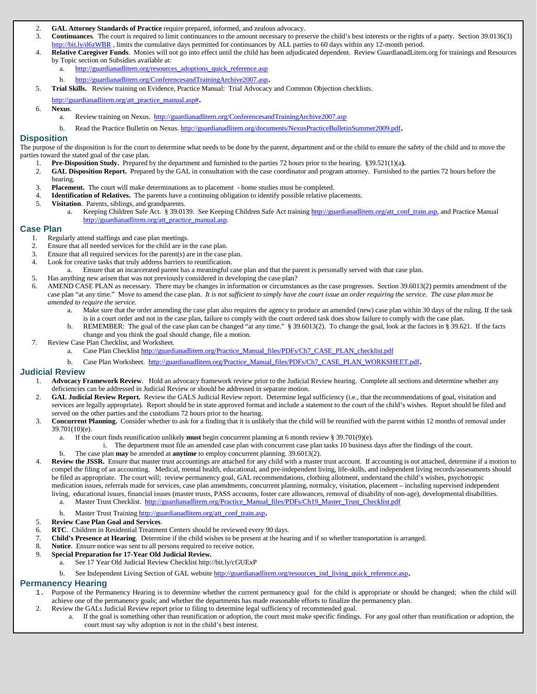- 2. **GAL Attorney Standards of Practice** require prepared, informed, and zealous advocacy.
- 3. **Continuances**. The court is required to limit continuances to the amount necessary to preserve the child's best interests or the rights of a party. Section 39.0136(3) <http://bit.ly/d6zWBR> , limits the cumulative days permitted for continuances by ALL parties to 60 days within any 12-month period.
- 4. **Relative Caregiver Funds**. Monies will not go into effect until the child has been adjudicated dependent. Review GuardianadLitem.org for trainings and Resources by Topic section on Subsidies available at:
	- [http://guardianadlitem.org/resources\\_adoptions\\_quick\\_reference.asp](http://guardianadlitem.org/resources_adoptions_quick_reference.asp)
	- b. [http://guardianadlitem.org/ConferencesandTrainingArchive2007.asp.](http://guardianadlitem.org/ConferencesandTrainingArchive2007.asp)
- 5. **Trial Skills.** Review training on Evidence, Practice Manual: Trial Advocacy and Common Objection checklists.
	- [http://guardianadlitem.org/att\\_practice\\_manual.asp#.](http://guardianadlitem.org/att_practice_manual.asp)
- 6. **Nexus**.
	- a. Review training on Nexus.<http://guardianadlitem.org/ConferencesandTrainingArchive2007.asp>
	- b. Read the Practice Bulletin on Nexus[. http://guardianadlitem.org/documents/NexusPracticeBulletinSummer2009.pdf.](http://guardianadlitem.org/documents/NexusPracticeBulletinSummer2009.pdf)

#### **Disposition**

The purpose of the disposition is for the court to determine what needs to be done by the parent, department and or the child to ensure the safety of the child and to move the parties toward the stated goal of the case plan.

- 1. **Pre-Disposition Study.** Prepared by the department and furnished to the parties 72 hours prior to the hearing. §39.521(1)(a**).**
- 2. **GAL Disposition Report.** Prepared by the GAL in consultation with the case coordinator and program attorney. Furnished to the parties 72 hours before the hearing.
- 3. **Placement.** The court will make determinations as to placement home studies must be completed.
- 4. **Identification of Relatives.** The parents have a continuing obligation to identify possible relative placements.
- 5. **Visitation**. Parents, siblings, and grandparents.
	- a. Keeping Children Safe Act. § 39.0139. See Keeping Children Safe Act trainin[g http://guardianadlitem.org/att\\_conf\\_train.asp,](http://guardianadlitem.org/att_conf_train.asp) and Practice Manual [http://guardianadlitem.org/att\\_practice\\_manual.asp.](http://guardianadlitem.org/att_practice_manual.asp)

### **Case Plan**

- 1. Regularly attend staffings and case plan meetings.
- 
- 2. Ensure that all needed services for the child are in the case plan.<br>3. Ensure that all required services for the parent(s) are in the case Ensure that all required services for the parent(s) are in the case plan.
- 4. Look for creative tasks that truly address barriers to reunification.
	- a. Ensure that an incarcerated parent has a meaningful case plan and that the parent is personally served with that case plan.
- 5. Has anything new arisen that was not previously considered in developing the case plan?
- 6. AMEND CASE PLAN as necessary. There may be changes in information or circumstances as the case progresses. Section 39.6013(2) permits amendment of the case plan "at any time." Move to amend the case plan. *It is not sufficient to simply have the court issue an order requiring the service. The case plan must be amended to require the service.*
	- a. Make sure that the order amending the case plan also requires the agency to produce an amended (new) case plan within 30 days of the ruling. If the task is in a court order and not in the case plan, failure to comply with the court ordered task does show failure to comply with the case plan.
	- b. REMEMBER: The goal of the case plan can be changed "at any time." § 39.6013(2). To change the goal, look at the factors in § 39.621. If the facts change and you think the goal should change, file a motion.
- 7. Review Case Plan Checklist, and Worksheet.
	- a. Case Plan Checklist [http://guardianadlitem.org/Practice\\_Manual\\_files/PDFs/Ch7\\_CASE\\_PLAN\\_checklist.pdf](http://guardianadlitem.org/Practice_Manual_files/PDFs/Ch7_CASE_PLAN_checklist.pdf)
	- b. Case Plan Worksheet. [http://guardianadlitem.org/Practice\\_Manual\\_files/PDFs/Ch7\\_CASE\\_PLAN\\_WORKSHEET.pdf.](http://guardianadlitem.org/Practice_Manual_files/PDFs/Ch7_CASE_PLAN_WORKSHEET.pdf)

#### **Judicial Review**

- 1. **Advocacy Framework Review**. Hold an advocacy framework review prior to the Judicial Review hearing. Complete all sections and determine whether any deficiencies can be addressed in Judicial Review or should be addressed in separate motion.
- 2. **GAL Judicial Review Report.** Review the GALS Judicial Review report. Determine legal sufficiency (i.e., that the recommendations of goal, visitation and services are legally appropriate). Report should be in state approved format and include a statement to the court of the child's wishes. Report should be filed and served on the other parties and the custodians 72 hours prior to the hearing.
- 3. **Concurrent Planning.** Consider whether to ask for a finding that it is unlikely that the child will be reunified with the parent within 12 months of removal under 39.701(10)(e).
	- a. If the court finds reunification unlikely **must** begin concurrent planning at 6 month review § 39.701(9)(e).
	- i. The department must file an amended case plan with concurrent case plan tasks 10 business days after the findings of the court.
	- b. The case plan **may** be amended at **anytime** to employ concurrent planning. 39.6013(2).
- Review the JSSR. Ensure that master trust accountings are attached for any child with a master trust account. If accounting is not attached, determine if a motion to compel the filing of an accounting. Medical, mental health, educational, and pre-independent living, life-skills, and independent living records/assessments should be filed as appropriate. The court will; review permanency goal, GAL recommendations, clothing allotment, understand the child's wishes, psychotropic medication issues, referrals made for services, case plan amendments, concurrent planning, normalcy, visitation, placement – including supervised independent living, educational issues, financial issues (master trusts, PASS accounts, foster care allowances, removal of disability of non-age), developmental disabilities.
	- a. Master Trust Checklist. [http://guardianadlitem.org/Practice\\_Manual\\_files/PDFs/Ch19\\_Master\\_Trust\\_Checklist.pdf](http://guardianadlitem.org/Practice_Manual_files/PDFs/Ch19_Master_Trust_Checklist.pdf)
	- b. Master Trust Trainin[g http://guardianadlitem.org/att\\_conf\\_train.asp.](http://guardianadlitem.org/att_conf_train.asp)
- 5. **Review Case Plan Goal and Services**.
- 6. **RTC**. Children in Residential Treatment Centers should be reviewed every 90 days.
- 7. **Child's Presence at Hearing**. Determine if the child wishes to be present at the hearing and if so whether transportation is arranged.
- 8. **Notice**. Ensure notice was sent to all persons required to receive notice.
- 9. **Special Preparation for 17-Year Old Judicial Review.**

1

- a. See 17 Year Old Judicial Review Checklist http://bit.ly/cGUExP
- b. See Independent Living Section of GAL websit[e http://guardianadlitem.org/resources\\_ind\\_living\\_quick\\_reference.asp.](http://guardianadlitem.org/resources_ind_living_quick_reference.asp)

## **Permanency Hearing**

- 1. Purpose of the Permanency Hearing is to determine whether the current permanency goal for the child is appropriate or should be changed; when the child will achieve one of the permanency goals; and whether the departments has made reasonable efforts to finalize the permanency plan.
- 2. Review the GALs Judicial Review report prior to filing to determine legal sufficiency of recommended goal.
	- a. If the goal is something other than reunification or adoption, the court must make specific findings. For any goal other than reunification or adoption, the court must say why adoption is not in the child's best interest.